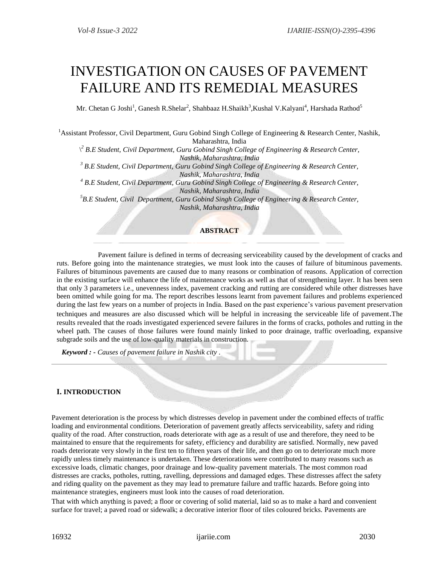# INVESTIGATION ON CAUSES OF PAVEMENT FAILURE AND ITS REMEDIAL MEASURES

Mr. Chetan G Joshi<sup>1</sup>, Ganesh R.Shelar<sup>2</sup>, Shahbaaz H.Shaikh<sup>3</sup>,Kushal V.Kalyani<sup>4</sup>, Harshada Rathod<sup>5</sup>

<sup>1</sup>Assistant Professor, Civil Department, Guru Gobind Singh College of Engineering & Research Center, Nashik, Maharashtra, India

\ *<sup>2</sup> B.E Student, Civil Department, Guru Gobind Singh College of Engineering & Research Center, Nashik, Maharashtra, India*

*<sup>3</sup> B.E Student, Civil Department, Guru Gobind Singh College of Engineering & Research Center, Nashik, Maharashtra, India*

*<sup>4</sup> B.E Student, Civil Department, Guru Gobind Singh College of Engineering & Research Center, Nashik, Maharashtra, India*

*<sup>5</sup>B.E Student, Civil Department, Guru Gobind Singh College of Engineering & Research Center, Nashik, Maharashtra, India*

## **ABSTRACT**

 Pavement failure is defined in terms of decreasing serviceability caused by the development of cracks and ruts. Before going into the maintenance strategies, we must look into the causes of failure of bituminous pavements. Failures of bituminous pavements are caused due to many reasons or combination of reasons. Application of correction in the existing surface will enhance the life of maintenance works as well as that of strengthening layer. It has been seen that only 3 parameters i.e., unevenness index, pavement cracking and rutting are considered while other distresses have been omitted while going for ma. The report describes lessons learnt from pavement failures and problems experienced during the last few years on a number of projects in India. Based on the past experience's various pavement preservation techniques and measures are also discussed which will be helpful in increasing the serviceable life of pavement.The results revealed that the roads investigated experienced severe failures in the forms of cracks, potholes and rutting in the wheel path. The causes of those failures were found mainly linked to poor drainage, traffic overloading, expansive subgrade soils and the use of low-quality materials in construction.

*Keyword : - Causes of pavement failure in Nashik city .*

## **I. INTRODUCTION**

Pavement deterioration is the process by which distresses develop in pavement under the combined effects of traffic loading and environmental conditions. Deterioration of pavement greatly affects serviceability, safety and riding quality of the road. After construction, roads deteriorate with age as a result of use and therefore, they need to be maintained to ensure that the requirements for safety, efficiency and durability are satisfied. Normally, new paved roads deteriorate very slowly in the first ten to fifteen years of their life, and then go on to deteriorate much more rapidly unless timely maintenance is undertaken. These deteriorations were contributed to many reasons such as excessive loads, climatic changes, poor drainage and low-quality pavement materials. The most common road distresses are cracks, potholes, rutting, ravelling, depressions and damaged edges. These distresses affect the safety and riding quality on the pavement as they may lead to premature failure and traffic hazards. Before going into maintenance strategies, engineers must look into the causes of road deterioration.

That with which anything is paved; a floor or covering of solid material, laid so as to make a hard and convenient surface for travel; a paved road or sidewalk; a decorative interior floor of tiles coloured bricks. Pavements are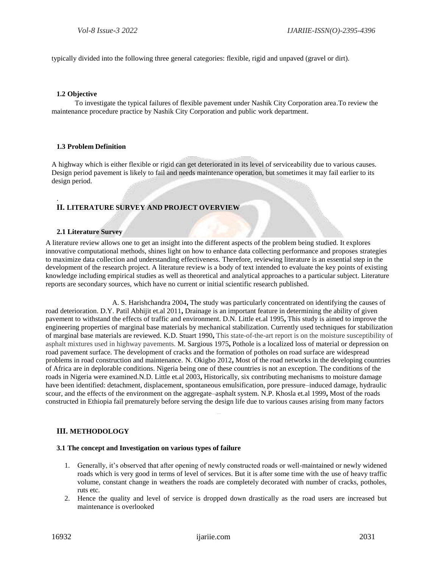typically divided into the following three general categories: flexible, rigid and unpaved (gravel or dirt).

#### **1.2 Objective**

.

 To investigate the typical failures of flexible pavement under Nashik City Corporation area.To review the maintenance procedure practice by Nashik City Corporation and public work department.

#### **1.3 Problem Definition**

A highway which is either flexible or rigid can get deteriorated in its level of serviceability due to various causes. Design period pavement is likely to fail and needs maintenance operation, but sometimes it may fail earlier to its design period.

## **II. LITERATURE SURVEY AND PROJECT OVERVIEW**

#### **2.1 Literature Survey**

A literature review allows one to get an insight into the different aspects of the problem being studied. It explores innovative computational methods, shines light on how to enhance data collecting performance and proposes strategies to maximize data collection and understanding effectiveness. Therefore, reviewing literature is an essential step in the development of the research project. A literature review is a body of text intended to evaluate the key points of existing knowledge including empirical studies as well as theoretical and analytical approaches to a particular subject. Literature reports are secondary sources, which have no current or initial scientific research published.

 A. S. Harishchandra 2004**,** The study was particularly concentrated on identifying the causes of road deterioration. D.Y. Patil Abhijit et.al 2011**,** Drainage is an important feature in determining the ability of given pavement to withstand the effects of traffic and environment. D.N. Little et.al 1995**,** This study is aimed to improve the engineering properties of marginal base materials by mechanical stabilization. Currently used techniques for stabilization of marginal base materials are reviewed. K.D. Stuart 1990**,** This state-of-the-art report is on the moisture susceptibility of asphalt mixtures used in highway pavements. M. Sargious 1975**,** Pothole is a localized loss of material or depression on road pavement surface. The development of cracks and the formation of potholes on road surface are widespread problems in road construction and maintenance. N. Okigbo 2012**,** Most of the road networks in the developing countries of Africa are in deplorable conditions. Nigeria being one of these countries is not an exception. The conditions of the roads in Nigeria were examined.N.D. Little et.al 2003**,** Historically, six contributing mechanisms to moisture damage have been identified: detachment, displacement, spontaneous emulsification, pore pressure–induced damage, hydraulic scour, and the effects of the environment on the aggregate–asphalt system. N.P. Khosla et.al 1999**,** Most of the roads constructed in Ethiopia fail prematurely before serving the design life due to various causes arising from many factors

#### **III. METHODOLOGY**

#### **3.1 The concept and Investigation on various types of failure**

- 1. Generally, it's observed that after opening of newly constructed roads or well-maintained or newly widened roads which is very good in terms of level of services. But it is after some time with the use of heavy traffic volume, constant change in weathers the roads are completely decorated with number of cracks, potholes, ruts etc.
- 2. Hence the quality and level of service is dropped down drastically as the road users are increased but maintenance is overlooked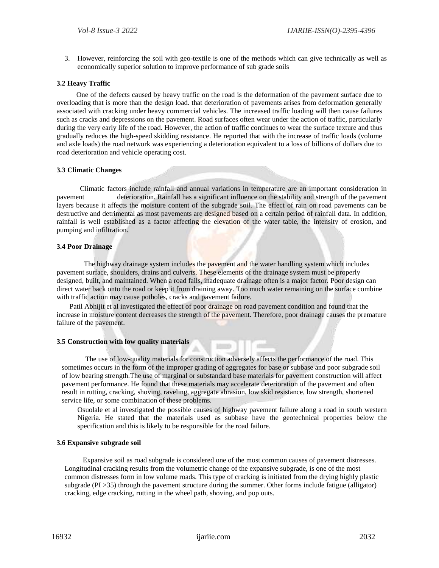3. However, reinforcing the soil with geo-textile is one of the methods which can give technically as well as economically superior solution to improve performance of sub grade soils

## **3.2 Heavy Traffic**

One of the defects caused by heavy traffic on the road is the deformation of the pavement surface due to overloading that is more than the design load. that deterioration of pavements arises from deformation generally associated with cracking under heavy commercial vehicles. The increased traffic loading will then cause failures such as cracks and depressions on the pavement. Road surfaces often wear under the action of traffic, particularly during the very early life of the road. However, the action of traffic continues to wear the surface texture and thus gradually reduces the high-speed skidding resistance. He reported that with the increase of traffic loads (volume and axle loads) the road network was experiencing a deterioration equivalent to a loss of billions of dollars due to road deterioration and vehicle operating cost.

## **3.3 Climatic Changes**

 Climatic factors include rainfall and annual variations in temperature are an important consideration in pavement deterioration. Rainfall has a significant influence on the stability and strength of the pavement layers because it affects the moisture content of the subgrade soil. The effect of rain on road pavements can be destructive and detrimental as most pavements are designed based on a certain period of rainfall data. In addition, rainfall is well established as a factor affecting the elevation of the water table, the intensity of erosion, and pumping and infiltration.

## **3.4 Poor Drainage**

The highway drainage system includes the pavement and the water handling system which includes pavement surface, shoulders, drains and culverts. These elements of the drainage system must be properly designed, built, and maintained. When a road fails, inadequate drainage often is a major factor. Poor design can direct water back onto the road or keep it from draining away. Too much water remaining on the surface combine with traffic action may cause potholes, cracks and pavement failure.

Patil Abhijit et al investigated the effect of poor drainage on road pavement condition and found that the increase in moisture content decreases the strength of the pavement. Therefore, poor drainage causes the premature failure of the pavement.

#### **3.5 Construction with low quality materials**

 The use of low-quality materials for construction adversely affects the performance of the road. This sometimes occurs in the form of the improper grading of aggregates for base or subbase and poor subgrade soil of low bearing strength.The use of marginal or substandard base materials for pavement construction will affect pavement performance. He found that these materials may accelerate deterioration of the pavement and often result in rutting, cracking, shoving, raveling, aggregate abrasion, low skid resistance, low strength, shortened service life, or some combination of these problems.

Osuolale et al investigated the possible causes of highway pavement failure along a road in south western Nigeria. He stated that the materials used as subbase have the geotechnical properties below the specification and this is likely to be responsible for the road failure.

#### **3.6 Expansive subgrade soil**

 Expansive soil as road subgrade is considered one of the most common causes of pavement distresses. Longitudinal cracking results from the volumetric change of the expansive subgrade, is one of the most common distresses form in low volume roads. This type of cracking is initiated from the drying highly plastic subgrade (PI > 35) through the pavement structure during the summer. Other forms include fatigue (alligator) cracking, edge cracking, rutting in the wheel path, shoving, and pop outs.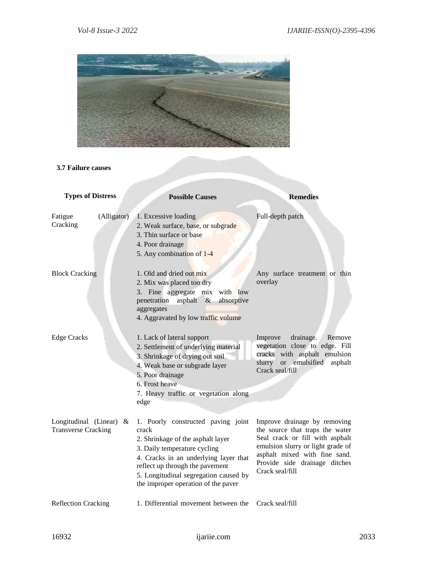

# **3.7 Failure causes**

| <b>Types of Distress</b>                              | <b>Possible Causes</b>                                                                                                                                                                                                                                                       | <b>Remedies</b>                                                                                                                                                                                                              |
|-------------------------------------------------------|------------------------------------------------------------------------------------------------------------------------------------------------------------------------------------------------------------------------------------------------------------------------------|------------------------------------------------------------------------------------------------------------------------------------------------------------------------------------------------------------------------------|
| Fatigue<br>(Alligator)<br>Cracking                    | 1. Excessive loading<br>2. Weak surface, base, or subgrade<br>3. Thin surface or base<br>4. Poor drainage<br>5. Any combination of 1-4                                                                                                                                       | Full-depth patch                                                                                                                                                                                                             |
| <b>Block Cracking</b>                                 | 1. Old and dried out mix<br>2. Mix was placed too dry<br>3. Fine aggregate mix<br>with low<br>asphalt<br>absorptive<br>penetration<br>$\&$<br>aggregates<br>4. Aggravated by low traffic volume                                                                              | Any surface treatment or thin<br>overlay                                                                                                                                                                                     |
| <b>Edge Cracks</b>                                    | 1. Lack of lateral support<br>2. Settlement of underlying material<br>3. Shrinkage of drying out soil<br>4. Weak base or subgrade layer<br>5. Poor drainage<br>6. Frost heave<br>7. Heavy traffic or vegetation along<br>edge                                                | Improve<br>drainage.<br>Remove<br>vegetation close to edge. Fill<br>cracks with asphalt emulsion<br>or emulsified<br>slurry<br>asphalt<br>Crack seal/fill                                                                    |
| Longitudinal (Linear) &<br><b>Transverse Cracking</b> | 1. Poorly constructed paving joint<br>crack<br>2. Shrinkage of the asphalt layer<br>3. Daily temperature cycling<br>4. Cracks in an underlying layer that<br>reflect up through the pavement<br>5. Longitudinal segregation caused by<br>the improper operation of the paver | Improve drainage by removing<br>the source that traps the water<br>Seal crack or fill with asphalt<br>emulsion slurry or light grade of<br>asphalt mixed with fine sand.<br>Provide side drainage ditches<br>Crack seal/fill |
| <b>Reflection Cracking</b>                            | 1. Differential movement between the                                                                                                                                                                                                                                         | Crack seal/fill                                                                                                                                                                                                              |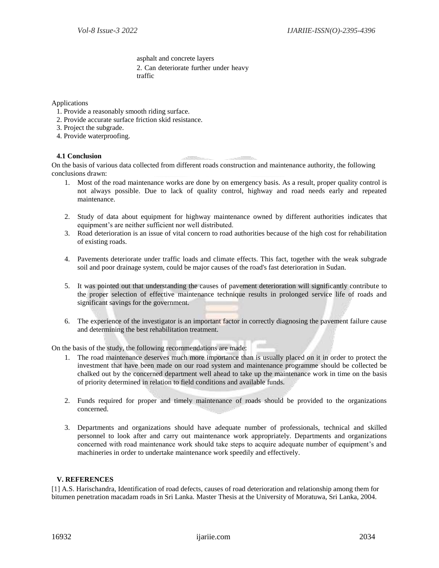asphalt and concrete layers 2. Can deteriorate further under heavy traffic

Applications

- 1. Provide a reasonably smooth riding surface.
- 2. Provide accurate surface friction skid resistance.
- 3. Project the subgrade.
- 4. Provide waterproofing.

## **4.1 Conclusion**

On the basis of various data collected from different roads construction and maintenance authority, the following conclusions drawn:

- 1. Most of the road maintenance works are done by on emergency basis. As a result, proper quality control is not always possible. Due to lack of quality control, highway and road needs early and repeated maintenance.
- 2. Study of data about equipment for highway maintenance owned by different authorities indicates that equipment's are neither sufficient nor well distributed.
- 3. Road deterioration is an issue of vital concern to road authorities because of the high cost for rehabilitation of existing roads.
- 4. Pavements deteriorate under traffic loads and climate effects. This fact, together with the weak subgrade soil and poor drainage system, could be major causes of the road's fast deterioration in Sudan.
- 5. It was pointed out that understanding the causes of pavement deterioration will significantly contribute to the proper selection of effective maintenance technique results in prolonged service life of roads and significant savings for the government.
- 6. The experience of the investigator is an important factor in correctly diagnosing the pavement failure cause and determining the best rehabilitation treatment.

On the basis of the study, the following recommendations are made:

- 1. The road maintenance deserves much more importance than is usually placed on it in order to protect the investment that have been made on our road system and maintenance programme should be collected be chalked out by the concerned department well ahead to take up the maintenance work in time on the basis of priority determined in relation to field conditions and available funds.
- 2. Funds required for proper and timely maintenance of roads should be provided to the organizations concerned.
- 3. Departments and organizations should have adequate number of professionals, technical and skilled personnel to look after and carry out maintenance work appropriately. Departments and organizations concerned with road maintenance work should take steps to acquire adequate number of equipment's and machineries in order to undertake maintenance work speedily and effectively.

## **V. REFERENCES**

[1] A.S. Harischandra, Identification of road defects, causes of road deterioration and relationship among them for bitumen penetration macadam roads in Sri Lanka. Master Thesis at the University of Moratuwa, Sri Lanka, 2004.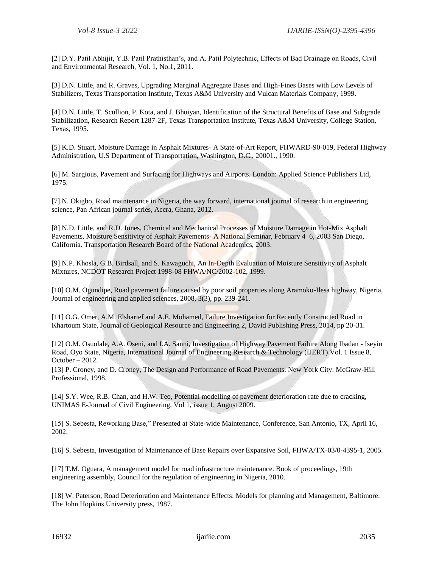[2] D.Y. Patil Abhijit, Y.B. Patil Prathisthan's, and A. Patil Polytechnic, Effects of Bad Drainage on Roads, Civil and Environmental Research, Vol. 1, No.1, 2011.

[3] D.N. Little, and R. Graves, Upgrading Marginal Aggregate Bases and High-Fines Bases with Low Levels of Stabilizers, Texas Transportation Institute, Texas A&M University and Vulcan Materials Company, 1999.

[4] D.N. Little, T. Scullion, P. Kota, and J. Bhuiyan, Identification of the Structural Benefits of Base and Subgrade Stabilization, Research Report 1287-2F, Texas Transportation Institute, Texas A&M University, College Station, Texas, 1995.

[5] K.D. Stuart, Moisture Damage in Asphalt Mixtures- A State-of-Art Report, FHWARD-90-019, Federal Highway Administration, U.S Department of Transportation, Washington, D.C., 20001., 1990.

[6] M. Sargious, Pavement and Surfacing for Highways and Airports. London: Applied Science Publishers Ltd, 1975.

[7] N. Okigbo, Road maintenance in Nigeria, the way forward, international journal of research in engineering science, Pan African journal series, Accra, Ghana, 2012.

[8] N.D. Little, and R.D. Jones, Chemical and Mechanical Processes of Moisture Damage in Hot-Mix Asphalt Pavements, Moisture Sensitivity of Asphalt Pavements- A National Seminar, February 4–6, 2003 San Diego, California. Transportation Research Board of the National Academics, 2003.

[9] N.P. Khosla, G.B. Birdsall, and S. Kawaguchi, An In-Depth Evaluation of Moisture Sensitivity of Asphalt Mixtures, NCDOT Research Project 1998-08 FHWA/NC/2002-102, 1999.

[10] O.M. Ogundipe, Road pavement failure caused by poor soil properties along Aramoko-Ilesa highway, Nigeria, Journal of engineering and applied sciences, 2008, 3(3), pp. 239-241.

[11] O.G. Omer, A.M. Elsharief and A.E. Mohamed, Failure Investigation for Recently Constructed Road in Khartoum State, Journal of Geological Resource and Engineering 2, David Publishing Press, 2014, pp 20-31.

[12] O.M. Osuolale, A.A. Oseni, and I.A. Sanni, Investigation of Highway Pavement Failure Along Ibadan - Iseyin Road, Oyo State, Nigeria, International Journal of Engineering Research & Technology (IJERT) Vol. 1 Issue 8,  $October - 2012.$ 

[13] P. Croney, and D. Croney, The Design and Performance of Road Pavements. New York City: McGraw-Hill Professional, 1998.

[14] S.Y. Wee, R.B. Chan, and H.W. Teo, Potential modelling of pavement deterioration rate due to cracking, UNIMAS E-Journal of Civil Engineering, Vol 1, issue 1, August 2009.

[15] S. Sebesta, Reworking Base," Presented at State-wide Maintenance, Conference, San Antonio, TX, April 16, 2002.

[16] S. Sebesta, Investigation of Maintenance of Base Repairs over Expansive Soil, FHWA/TX-03/0-4395-1, 2005.

[17] T.M. Oguara, A management model for road infrastructure maintenance. Book of proceedings, 19th engineering assembly, Council for the regulation of engineering in Nigeria, 2010.

[18] W. Paterson, Road Deterioration and Maintenance Effects: Models for planning and Management, Baltimore: The John Hopkins University press, 1987.